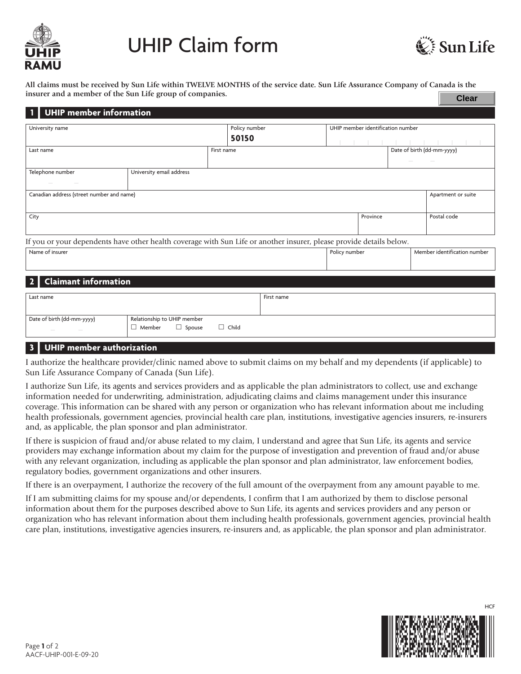

# UHIP Claim form



**All claims must be received by Sun Life within TWELVE MONTHS of the service date. Sun Life Assurance Company of Canada is the insurer and a member of the Sun Life group of companies. Clear**

| <b>UHIP member information</b>                                                                                       |                                                                 |              |               |                                   |  |                              |
|----------------------------------------------------------------------------------------------------------------------|-----------------------------------------------------------------|--------------|---------------|-----------------------------------|--|------------------------------|
|                                                                                                                      |                                                                 |              |               |                                   |  |                              |
| University name                                                                                                      |                                                                 |              | Policy number | UHIP member identification number |  |                              |
|                                                                                                                      |                                                                 | 50150        |               |                                   |  |                              |
|                                                                                                                      |                                                                 |              |               |                                   |  |                              |
| Last name                                                                                                            |                                                                 | First name   |               |                                   |  | Date of birth (dd-mm-yyyy)   |
|                                                                                                                      |                                                                 |              |               |                                   |  |                              |
| Telephone number                                                                                                     | University email address                                        |              |               |                                   |  |                              |
|                                                                                                                      |                                                                 |              |               |                                   |  |                              |
|                                                                                                                      | Canadian address (street number and name)<br>Apartment or suite |              |               |                                   |  |                              |
|                                                                                                                      |                                                                 |              |               |                                   |  |                              |
| City                                                                                                                 |                                                                 |              |               | Province                          |  | Postal code                  |
|                                                                                                                      |                                                                 |              |               |                                   |  |                              |
|                                                                                                                      |                                                                 |              |               |                                   |  |                              |
| If you or your dependents have other health coverage with Sun Life or another insurer, please provide details below. |                                                                 |              |               |                                   |  |                              |
| Name of insurer                                                                                                      |                                                                 |              |               | Policy number                     |  | Member identification number |
|                                                                                                                      |                                                                 |              |               |                                   |  |                              |
|                                                                                                                      |                                                                 |              |               |                                   |  |                              |
| <b>Claimant information</b>                                                                                          |                                                                 |              |               |                                   |  |                              |
|                                                                                                                      |                                                                 |              |               |                                   |  |                              |
| Last name                                                                                                            |                                                                 |              | First name    |                                   |  |                              |
|                                                                                                                      |                                                                 |              |               |                                   |  |                              |
| Date of birth (dd-mm-yyyy)                                                                                           | Relationship to UHIP member                                     |              |               |                                   |  |                              |
|                                                                                                                      | $\Box$ Member<br>$\Box$ Spouse                                  | $\Box$ Child |               |                                   |  |                              |
| -----                                                                                                                |                                                                 |              |               |                                   |  |                              |

## **| 3 UHIP member authorization**

I authorize the healthcare provider/clinic named above to submit claims on my behalf and my dependents (if applicable) to Sun Life Assurance Company of Canada (Sun Life).

I authorize Sun Life, its agents and services providers and as applicable the plan administrators to collect, use and exchange information needed for underwriting, administration, adjudicating claims and claims management under this insurance coverage. This information can be shared with any person or organization who has relevant information about me including health professionals, government agencies, provincial health care plan, institutions, investigative agencies insurers, re-insurers and, as applicable, the plan sponsor and plan administrator.

If there is suspicion of fraud and/or abuse related to my claim, I understand and agree that Sun Life, its agents and service providers may exchange information about my claim for the purpose of investigation and prevention of fraud and/or abuse with any relevant organization, including as applicable the plan sponsor and plan administrator, law enforcement bodies, regulatory bodies, government organizations and other insurers.

If there is an overpayment, I authorize the recovery of the full amount of the overpayment from any amount payable to me.

If I am submitting claims for my spouse and/or dependents, I confirm that I am authorized by them to disclose personal information about them for the purposes described above to Sun Life, its agents and services providers and any person or organization who has relevant information about them including health professionals, government agencies, provincial health care plan, institutions, investigative agencies insurers, re-insurers and, as applicable, the plan sponsor and plan administrator.



**HCF**